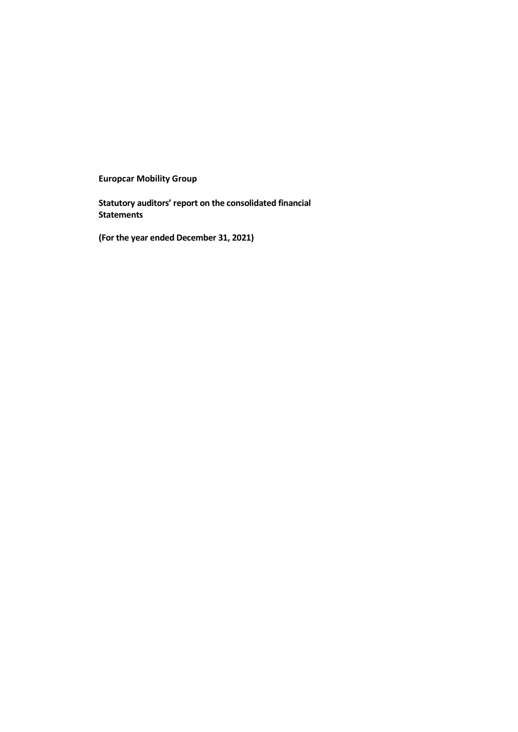**Europcar Mobility Group**

**Statutory auditors' report on the consolidated financial Statements**

**(For the year ended December 31, 2021)**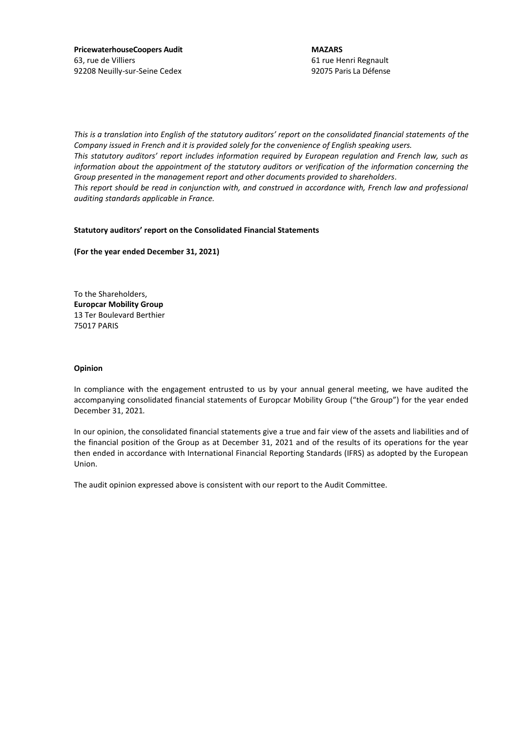**PricewaterhouseCoopers Audit** 63, rue de Villiers 92208 Neuilly-sur-Seine Cedex

*This is a translation into English of the statutory auditors' report on the consolidated financial statements of the Company issued in French and it is provided solely for the convenience of English speaking users. This statutory auditors' report includes information required by European regulation and French law, such as information about the appointment of the statutory auditors or verification of the information concerning the Group presented in the management report and other documents provided to shareholders.* This report should be read in conjunction with, and construed in accordance with, French law and professional *auditing standards applicable in France.*

# **Statutory auditors' report on the Consolidated Financial Statements**

**(For the year ended December 31, 2021)**

To the Shareholders, **Europcar Mobility Group** 13 Ter Boulevard Berthier 75017 PARIS

#### **Opinion**

In compliance with the engagement entrusted to us by your annual general meeting, we have audited the accompanying consolidated financial statements of Europcar Mobility Group ("the Group") for the year ended December 31, 2021*.* 

In our opinion, the consolidated financial statements give a true and fair view of the assets and liabilities and of the financial position of the Group as at December 31, 2021 and of the results of its operations for the year then ended in accordance with International Financial Reporting Standards (IFRS) as adopted by the European Union.

The audit opinion expressed above is consistent with our report to the Audit Committee.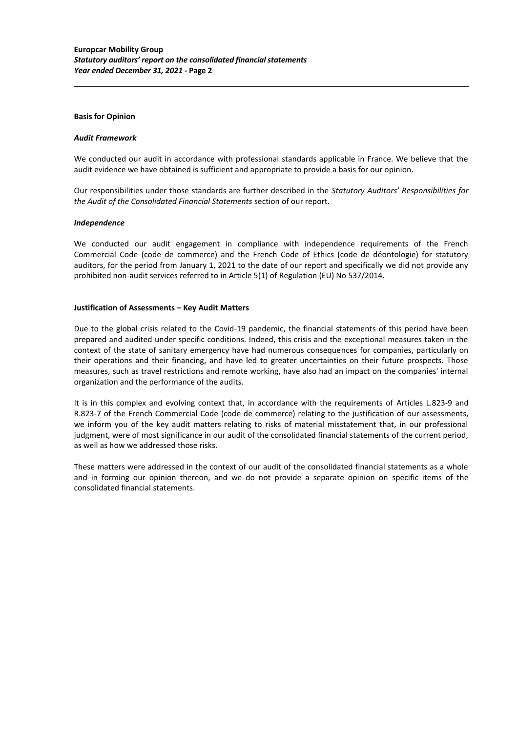#### **Basis for Opinion**

#### *Audit Framework*

We conducted our audit in accordance with professional standards applicable in France. We believe that the audit evidence we have obtained is sufficient and appropriate to provide a basis for our opinion.

Our responsibilities under those standards are further described in the *Statutory Auditors' Responsibilities for the Audit of the Consolidated Financial Statements* section of our report.

#### *Independence*

We conducted our audit engagement in compliance with independence requirements of the French Commercial Code (code de commerce) and the French Code of Ethics (code de déontologie) for statutory auditors, for the period from January 1, 2021 to the date of our report and specifically we did not provide any prohibited non-audit services referred to in Article 5(1) of Regulation (EU) No 537/2014.

#### **Justification of Assessments – Key Audit Matters**

Due to the global crisis related to the Covid-19 pandemic, the financial statements of this period have been prepared and audited under specific conditions. Indeed, this crisis and the exceptional measures taken in the context of the state of sanitary emergency have had numerous consequences for companies, particularly on their operations and their financing, and have led to greater uncertainties on their future prospects. Those measures, such as travel restrictions and remote working, have also had an impact on the companies' internal organization and the performance of the audits.

It is in this complex and evolving context that, in accordance with the requirements of Articles L.823-9 and R.823-7 of the French Commercial Code (code de commerce) relating to the justification of our assessments, we inform you of the key audit matters relating to risks of material misstatement that, in our professional judgment, were of most significance in our audit of the consolidated financial statements of the current period, as well as how we addressed those risks.

These matters were addressed in the context of our audit of the consolidated financial statements as a whole and in forming our opinion thereon, and we do not provide a separate opinion on specific items of the consolidated financial statements.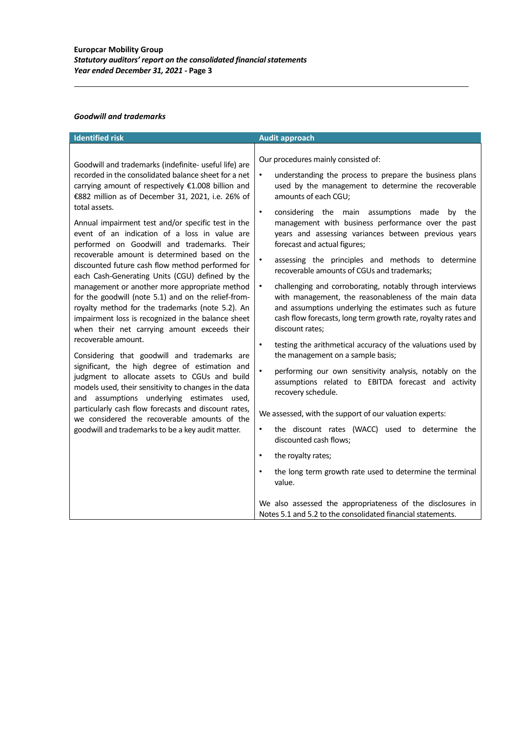# *Goodwill and trademarks*

| <b>Identified risk</b>                                                                                                                                                                                                                                                                                                                                                                                                                                                                                                                                                                                                                                                                                                                                                                                                                                                                                                                                                                                                                                                                                                                                                                                                                                                  | <b>Audit approach</b>                                                                                                                                                                                                                                                                                                                                                                                                                                                                                                                                                                                                                                                                                                                                                                                                                                                                                                                                                                                                                                                                                                                                                                                                                                                                                                                                                                                                                                                                       |
|-------------------------------------------------------------------------------------------------------------------------------------------------------------------------------------------------------------------------------------------------------------------------------------------------------------------------------------------------------------------------------------------------------------------------------------------------------------------------------------------------------------------------------------------------------------------------------------------------------------------------------------------------------------------------------------------------------------------------------------------------------------------------------------------------------------------------------------------------------------------------------------------------------------------------------------------------------------------------------------------------------------------------------------------------------------------------------------------------------------------------------------------------------------------------------------------------------------------------------------------------------------------------|---------------------------------------------------------------------------------------------------------------------------------------------------------------------------------------------------------------------------------------------------------------------------------------------------------------------------------------------------------------------------------------------------------------------------------------------------------------------------------------------------------------------------------------------------------------------------------------------------------------------------------------------------------------------------------------------------------------------------------------------------------------------------------------------------------------------------------------------------------------------------------------------------------------------------------------------------------------------------------------------------------------------------------------------------------------------------------------------------------------------------------------------------------------------------------------------------------------------------------------------------------------------------------------------------------------------------------------------------------------------------------------------------------------------------------------------------------------------------------------------|
| Goodwill and trademarks (indefinite- useful life) are<br>recorded in the consolidated balance sheet for a net<br>carrying amount of respectively €1.008 billion and<br>€882 million as of December 31, 2021, i.e. 26% of<br>total assets.<br>Annual impairment test and/or specific test in the<br>event of an indication of a loss in value are<br>performed on Goodwill and trademarks. Their<br>recoverable amount is determined based on the<br>discounted future cash flow method performed for<br>each Cash-Generating Units (CGU) defined by the<br>management or another more appropriate method<br>for the goodwill (note 5.1) and on the relief-from-<br>royalty method for the trademarks (note 5.2). An<br>impairment loss is recognized in the balance sheet<br>when their net carrying amount exceeds their<br>recoverable amount.<br>Considering that goodwill and trademarks are<br>significant, the high degree of estimation and<br>judgment to allocate assets to CGUs and build<br>models used, their sensitivity to changes in the data<br>and assumptions underlying estimates used,<br>particularly cash flow forecasts and discount rates,<br>we considered the recoverable amounts of the<br>goodwill and trademarks to be a key audit matter. | Our procedures mainly consisted of:<br>understanding the process to prepare the business plans<br>$\bullet$<br>used by the management to determine the recoverable<br>amounts of each CGU;<br>$\bullet$<br>considering the main assumptions<br>made<br>by the<br>management with business performance over the past<br>years and assessing variances between previous years<br>forecast and actual figures;<br>$\bullet$<br>assessing the principles and methods to determine<br>recoverable amounts of CGUs and trademarks;<br>challenging and corroborating, notably through interviews<br>$\bullet$<br>with management, the reasonableness of the main data<br>and assumptions underlying the estimates such as future<br>cash flow forecasts, long term growth rate, royalty rates and<br>discount rates;<br>testing the arithmetical accuracy of the valuations used by<br>$\bullet$<br>the management on a sample basis;<br>$\bullet$<br>performing our own sensitivity analysis, notably on the<br>assumptions related to EBITDA forecast and activity<br>recovery schedule.<br>We assessed, with the support of our valuation experts:<br>the discount rates (WACC) used to determine the<br>$\bullet$<br>discounted cash flows;<br>the royalty rates;<br>$\bullet$<br>the long term growth rate used to determine the terminal<br>$\bullet$<br>value.<br>We also assessed the appropriateness of the disclosures in<br>Notes 5.1 and 5.2 to the consolidated financial statements. |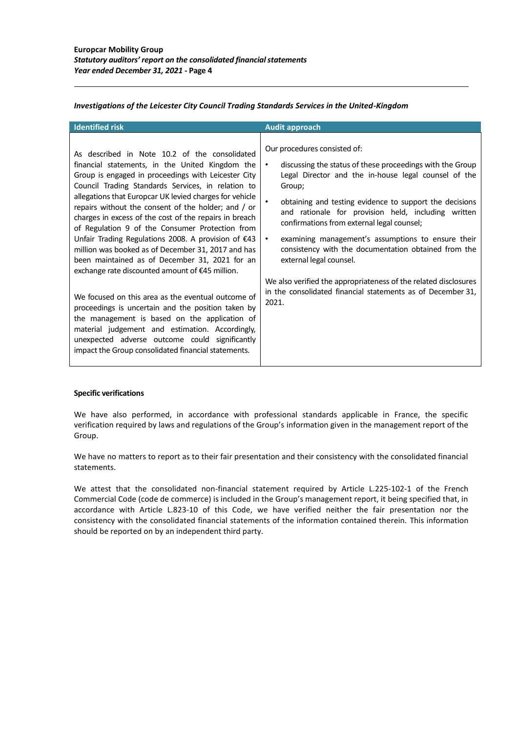# *Investigations of the Leicester City Council Trading Standards Services in the United-Kingdom*

| <b>Identified risk</b>                                                                                                                                                                                                                                                                                                                                                                                                                                                                                                                                                                                                                                                                                                                                                                                                                                                                                                                                                                    | <b>Audit approach</b>                                                                                                                                                                                                                                                                                                                                                                                                                                                                                                                                                                                                                     |
|-------------------------------------------------------------------------------------------------------------------------------------------------------------------------------------------------------------------------------------------------------------------------------------------------------------------------------------------------------------------------------------------------------------------------------------------------------------------------------------------------------------------------------------------------------------------------------------------------------------------------------------------------------------------------------------------------------------------------------------------------------------------------------------------------------------------------------------------------------------------------------------------------------------------------------------------------------------------------------------------|-------------------------------------------------------------------------------------------------------------------------------------------------------------------------------------------------------------------------------------------------------------------------------------------------------------------------------------------------------------------------------------------------------------------------------------------------------------------------------------------------------------------------------------------------------------------------------------------------------------------------------------------|
| As described in Note 10.2 of the consolidated<br>financial statements, in the United Kingdom the<br>Group is engaged in proceedings with Leicester City<br>Council Trading Standards Services, in relation to<br>allegations that Europcar UK levied charges for vehicle<br>repairs without the consent of the holder; and / or<br>charges in excess of the cost of the repairs in breach<br>of Regulation 9 of the Consumer Protection from<br>Unfair Trading Regulations 2008. A provision of $£43$<br>million was booked as of December 31, 2017 and has<br>been maintained as of December 31, 2021 for an<br>exchange rate discounted amount of €45 million.<br>We focused on this area as the eventual outcome of<br>proceedings is uncertain and the position taken by<br>the management is based on the application of<br>material judgement and estimation. Accordingly,<br>unexpected adverse outcome could significantly<br>impact the Group consolidated financial statements. | Our procedures consisted of:<br>discussing the status of these proceedings with the Group<br>$\bullet$<br>Legal Director and the in-house legal counsel of the<br>Group;<br>obtaining and testing evidence to support the decisions<br>and rationale for provision held, including written<br>confirmations from external legal counsel;<br>examining management's assumptions to ensure their<br>$\bullet$<br>consistency with the documentation obtained from the<br>external legal counsel.<br>We also verified the appropriateness of the related disclosures<br>in the consolidated financial statements as of December 31,<br>2021. |

## **Specific verifications**

We have also performed, in accordance with professional standards applicable in France, the specific verification required by laws and regulations of the Group's information given in the management report of the Group.

We have no matters to report as to their fair presentation and their consistency with the consolidated financial statements.

We attest that the consolidated non-financial statement required by Article L.225-102-1 of the French Commercial Code (code de commerce) is included in the Group's management report, it being specified that, in accordance with Article L.823-10 of this Code, we have verified neither the fair presentation nor the consistency with the consolidated financial statements of the information contained therein. This information should be reported on by an independent third party.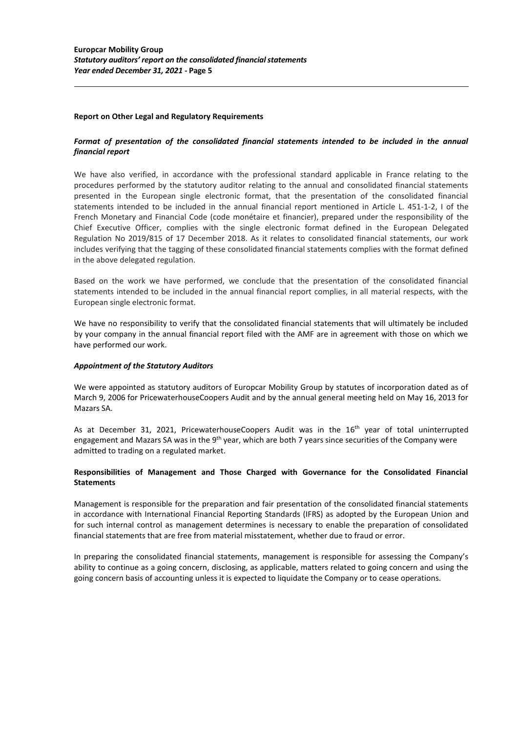## **Report on Other Legal and Regulatory Requirements**

# Format of presentation of the consolidated financial statements intended to be included in the annual *financial report*

We have also verified, in accordance with the professional standard applicable in France relating to the procedures performed by the statutory auditor relating to the annual and consolidated financial statements presented in the European single electronic format, that the presentation of the consolidated financial statements intended to be included in the annual financial report mentioned in Article L. 451-1-2, I of the French Monetary and Financial Code (code monétaire et financier), prepared under the responsibility of the Chief Executive Officer, complies with the single electronic format defined in the European Delegated Regulation No 2019/815 of 17 December 2018. As it relates to consolidated financial statements, our work includes verifying that the tagging of these consolidated financial statements complies with the format defined in the above delegated regulation.

Based on the work we have performed, we conclude that the presentation of the consolidated financial statements intended to be included in the annual financial report complies, in all material respects, with the European single electronic format.

We have no responsibility to verify that the consolidated financial statements that will ultimately be included by your company in the annual financial report filed with the AMF are in agreement with those on which we have performed our work.

### *Appointment of the Statutory Auditors*

We were appointed as statutory auditors of Europcar Mobility Group by statutes of incorporation dated as of March 9, 2006 for PricewaterhouseCoopers Audit and by the annual general meeting held on May 16, 2013 for Mazars SA.

As at December 31, 2021, PricewaterhouseCoopers Audit was in the 16<sup>th</sup> year of total uninterrupted engagement and Mazars SA was in the 9<sup>th</sup> year, which are both 7 years since securities of the Company were admitted to trading on a regulated market.

# **Responsibilities of Management and Those Charged with Governance for the Consolidated Financial Statements**

Management is responsible for the preparation and fair presentation of the consolidated financial statements in accordance with International Financial Reporting Standards (IFRS) as adopted by the European Union and for such internal control as management determines is necessary to enable the preparation of consolidated financial statements that are free from material misstatement, whether due to fraud or error.

In preparing the consolidated financial statements, management is responsible for assessing the Company's ability to continue as a going concern, disclosing, as applicable, matters related to going concern and using the going concern basis of accounting unless it is expected to liquidate the Company or to cease operations.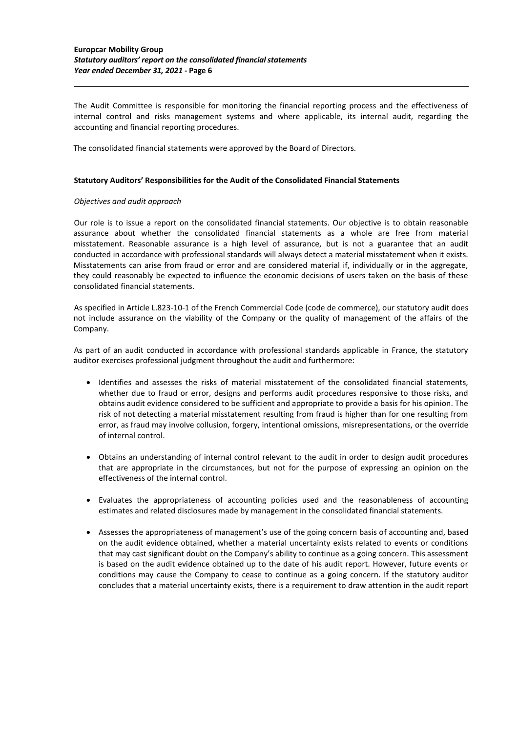The Audit Committee is responsible for monitoring the financial reporting process and the effectiveness of internal control and risks management systems and where applicable, its internal audit, regarding the accounting and financial reporting procedures.

The consolidated financial statements were approved by the Board of Directors.

### **Statutory Auditors' Responsibilities for the Audit of the Consolidated Financial Statements**

## *Objectives and audit approach*

Our role is to issue a report on the consolidated financial statements. Our objective is to obtain reasonable assurance about whether the consolidated financial statements as a whole are free from material misstatement. Reasonable assurance is a high level of assurance, but is not a guarantee that an audit conducted in accordance with professional standards will always detect a material misstatement when it exists. Misstatements can arise from fraud or error and are considered material if, individually or in the aggregate, they could reasonably be expected to influence the economic decisions of users taken on the basis of these consolidated financial statements.

As specified in Article L.823-10-1 of the French Commercial Code (code de commerce), our statutory audit does not include assurance on the viability of the Company or the quality of management of the affairs of the Company.

As part of an audit conducted in accordance with professional standards applicable in France, the statutory auditor exercises professional judgment throughout the audit and furthermore:

- Identifies and assesses the risks of material misstatement of the consolidated financial statements, whether due to fraud or error, designs and performs audit procedures responsive to those risks, and obtains audit evidence considered to be sufficient and appropriate to provide a basis for his opinion. The risk of not detecting a material misstatement resulting from fraud is higher than for one resulting from error, as fraud may involve collusion, forgery, intentional omissions, misrepresentations, or the override of internal control.
- Obtains an understanding of internal control relevant to the audit in order to design audit procedures that are appropriate in the circumstances, but not for the purpose of expressing an opinion on the effectiveness of the internal control.
- Evaluates the appropriateness of accounting policies used and the reasonableness of accounting estimates and related disclosures made by management in the consolidated financial statements.
- Assesses the appropriateness of management's use of the going concern basis of accounting and, based on the audit evidence obtained, whether a material uncertainty exists related to events or conditions that may cast significant doubt on the Company's ability to continue as a going concern. This assessment is based on the audit evidence obtained up to the date of his audit report. However, future events or conditions may cause the Company to cease to continue as a going concern. If the statutory auditor concludes that a material uncertainty exists, there is a requirement to draw attention in the audit report